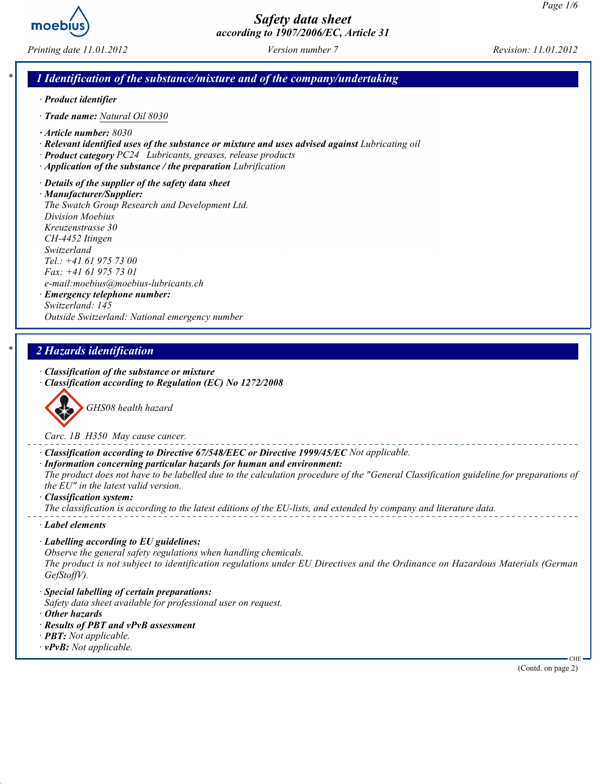

Printing date 11.01.2012 Version number 7 Revision: 11.01.2012

### 1 Identification of the substance/mixture and of the company/undertaking

- · Product identifier
- · Trade name: Natural Oil 8030
- · Article number: 8030
- · Relevant identified uses of the substance or mixture and uses advised against Lubricating oil
- · Product category PC24 Lubricants, greases, release products
- · Application of the substance / the preparation Lubrification
- · Details of the supplier of the safety data sheet · Manufacturer/Supplier:

The Swatch Group Research and Development Ltd. Division Moebius Kreuzenstrasse 30 CH-4452 Itingen Switzerland Tel.: +41 61 975 73 00 Fax: +41 61 975 73 01 e-mail:moebius@moebius-lubricants.ch · Emergency telephone number: Switzerland: 145

Outside Switzerland: National emergency number

### 2 Hazards identification

- · Classification of the substance or mixture
- · Classification according to Regulation (EC) No 1272/2008



Carc. 1B H350 May cause cancer.

- · Classification according to Directive 67/548/EEC or Directive 1999/45/EC Not applicable.
- · Information concerning particular hazards for human and environment:

The product does not have to be labelled due to the calculation procedure of the "General Classification guideline for preparations of the EU" in the latest valid version.

- · Classification system: The classification is according to the latest editions of the EU-lists, and extended by company and literature data.
- · Label elements
- · Labelling according to EU guidelines:

Observe the general safety regulations when handling chemicals. The product is not subject to identification regulations under EU Directives and the Ordinance on Hazardous Materials (German GefStoffV).

- · Special labelling of certain preparations:
- Safety data sheet available for professional user on request.
- · Other hazards
- · Results of PBT and vPvB assessment
- · PBT: Not applicable.
- $\cdot$  vPvB: Not applicable.

(Contd. on page 2)

CHE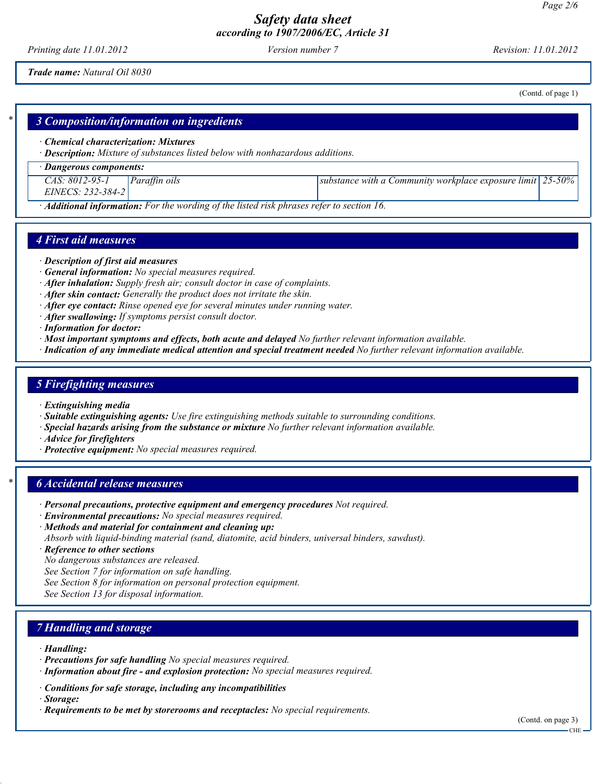Printing date 11.01.2012 Version number 7 Revision: 11.01.2012

Trade name: Natural Oil 8030

(Contd. of page 1)

# 3 Composition/information on ingredients

- · Chemical characterization: Mixtures
- · Description: Mixture of substances listed below with nonhazardous additions.

#### · Dangerous components:

CAS: 8012-95-1 EINECS: 232-384-2 Paraffin oils substance with a Community workplace exposure limit 25-50%

· Additional information: For the wording of the listed risk phrases refer to section 16.

### 4 First aid measures

- · Description of first aid measures
- · General information: No special measures required.
- · After inhalation: Supply fresh air; consult doctor in case of complaints.
- · After skin contact: Generally the product does not irritate the skin.
- · After eye contact: Rinse opened eye for several minutes under running water.
- · After swallowing: If symptoms persist consult doctor.
- · Information for doctor:
- · Most important symptoms and effects, both acute and delayed No further relevant information available.
- · Indication of any immediate medical attention and special treatment needed No further relevant information available.

### 5 Firefighting measures

- · Extinguishing media
- · Suitable extinguishing agents: Use fire extinguishing methods suitable to surrounding conditions.
- · Special hazards arising from the substance or mixture No further relevant information available.
- · Advice for firefighters
- · Protective equipment: No special measures required.

### **6 Accidental release measures**

- · Personal precautions, protective equipment and emergency procedures Not required.
- · Environmental precautions: No special measures required.
- · Methods and material for containment and cleaning up:
- Absorb with liquid-binding material (sand, diatomite, acid binders, universal binders, sawdust).
- · Reference to other sections
- No dangerous substances are released.
- See Section 7 for information on safe handling.
- See Section 8 for information on personal protection equipment.

See Section 13 for disposal information.

### 7 Handling and storage

#### · Handling:

- · Precautions for safe handling No special measures required.
- · Information about fire and explosion protection: No special measures required.
- · Conditions for safe storage, including any incompatibilities
- · Storage:
- $\cdot$  Requirements to be met by storerooms and receptacles: No special requirements.

(Contd. on page 3)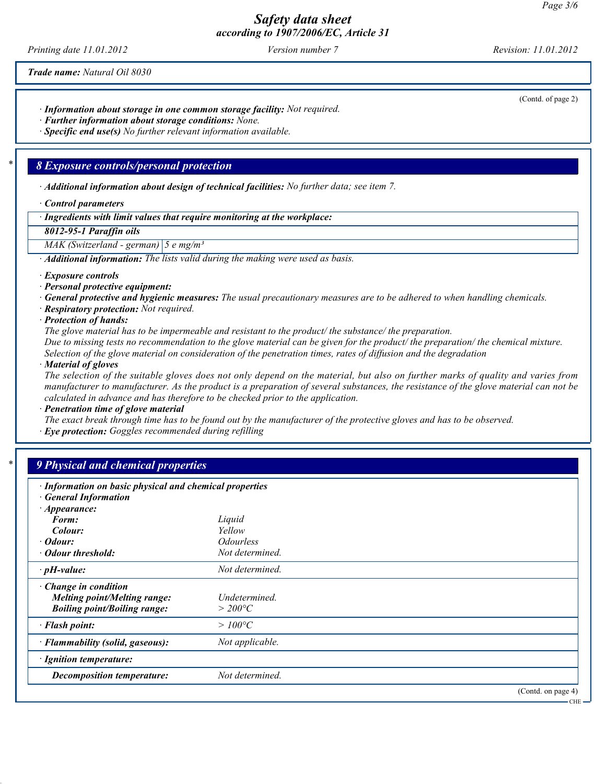Printing date 11.01.2012 Version number 7 Revision: 11.01.2012

Trade name: Natural Oil 8030

- · Information about storage in one common storage facility: Not required.
- · Further information about storage conditions: None.
- · Specific end use(s) No further relevant information available.

### 8 Exposure controls/personal protection

· Additional information about design of technical facilities: No further data; see item 7.

· Control parameters

· Ingredients with limit values that require monitoring at the workplace:

8012-95-1 Paraffin oils

MAK (Switzerland - german)  $\left|5 \right| e$  mg/m<sup>3</sup>

· Additional information: The lists valid during the making were used as basis.

· Exposure controls

- · Personal protective equipment:
- · General protective and hygienic measures: The usual precautionary measures are to be adhered to when handling chemicals.
- · Respiratory protection: Not required.
- · Protection of hands:

The glove material has to be impermeable and resistant to the product/ the substance/ the preparation.

Due to missing tests no recommendation to the glove material can be given for the product/ the preparation/ the chemical mixture. Selection of the glove material on consideration of the penetration times, rates of diffusion and the degradation

· Material of gloves

The selection of the suitable gloves does not only depend on the material, but also on further marks of quality and varies from manufacturer to manufacturer. As the product is a preparation of several substances, the resistance of the glove material can not be calculated in advance and has therefore to be checked prior to the application.

· Penetration time of glove material

- The exact break through time has to be found out by the manufacturer of the protective gloves and has to be observed.
- · Eye protection: Goggles recommended during refilling

## **9 Physical and chemical properties**

| · Information on basic physical and chemical properties<br><b>General Information</b>             |                            |                    |
|---------------------------------------------------------------------------------------------------|----------------------------|--------------------|
| Appearance:                                                                                       |                            |                    |
| Form:                                                                                             | Liquid                     |                    |
| Colour:                                                                                           | Yellow                     |                    |
| $\cdot$ Odour:                                                                                    | <i><b>Odourless</b></i>    |                    |
| <b>Odour threshold:</b>                                                                           | Not determined.            |                    |
| $\cdot$ pH-value:                                                                                 | Not determined.            |                    |
| Change in condition<br><b>Melting point/Melting range:</b><br><b>Boiling point/Boiling range:</b> | Undetermined.<br>$>$ 200°C |                    |
| · Flash point:                                                                                    | $>100^{\circ}C$            |                    |
| · Flammability (solid, gaseous):                                                                  | Not applicable.            |                    |
| · Ignition temperature:                                                                           |                            |                    |
| <b>Decomposition temperature:</b>                                                                 | Not determined.            |                    |
|                                                                                                   |                            | (Contd. on page 4) |
|                                                                                                   |                            | $-$ CHE            |

(Contd. of page 2)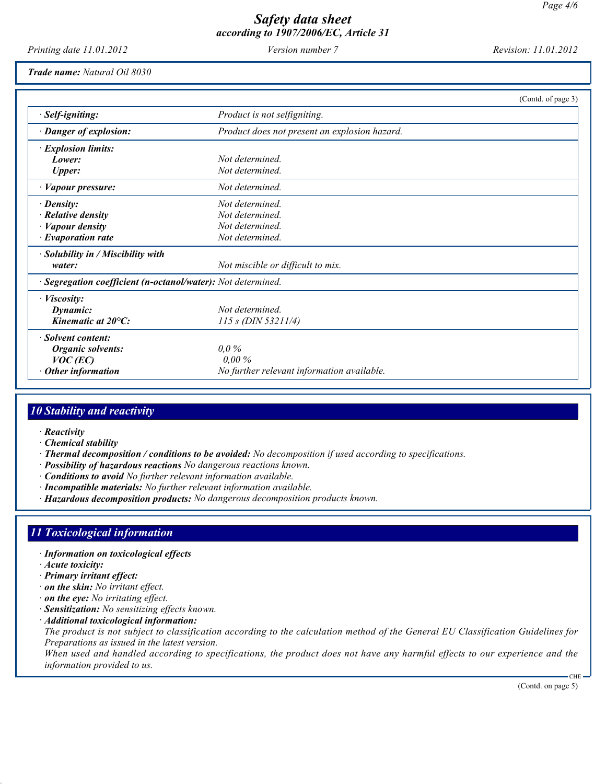Printing date 11.01.2012 Version number 7 Revision: 11.01.2012

### Trade name: Natural Oil 8030

|                                                            |                                               | (Contd. of page 3) |
|------------------------------------------------------------|-----------------------------------------------|--------------------|
| · Self-igniting:                                           | Product is not selfigniting.                  |                    |
| · Danger of explosion:                                     | Product does not present an explosion hazard. |                    |
| $\cdot$ Explosion limits:                                  |                                               |                    |
| Lower:                                                     | Not determined.                               |                    |
| <b>Upper:</b>                                              | Not determined.                               |                    |
| · Vapour pressure:                                         | Not determined.                               |                    |
| $\cdot$ Density:                                           | Not determined.                               |                    |
| $\cdot$ Relative density                                   | Not determined.                               |                    |
| <b>Vapour density</b>                                      | Not determined.                               |                    |
| · Evaporation rate                                         | Not determined.                               |                    |
| · Solubility in / Miscibility with                         |                                               |                    |
| water:                                                     | Not miscible or difficult to mix.             |                    |
| Segregation coefficient (n-octanol/water): Not determined. |                                               |                    |
| · <i>Viscosity</i> :                                       |                                               |                    |
| Dynamic:                                                   | Not determined.                               |                    |
| Kinematic at 20°C:                                         | $115 s$ (DIN 53211/4)                         |                    |
| · Solvent content:                                         |                                               |                    |
| <b>Organic solvents:</b>                                   | $0.0\%$                                       |                    |
| $VOC$ (EC)                                                 | $0.00\%$                                      |                    |
| Other information                                          | No further relevant information available.    |                    |

## 10 Stability and reactivity

- · Reactivity
- · Chemical stability
- · Thermal decomposition / conditions to be avoided: No decomposition if used according to specifications.
- · Possibility of hazardous reactions No dangerous reactions known.
- · Conditions to avoid No further relevant information available.
- · Incompatible materials: No further relevant information available.
- · Hazardous decomposition products: No dangerous decomposition products known.

### 11 Toxicological information

- · Information on toxicological effects
- · Acute toxicity:
- · Primary irritant effect:
- · on the skin: No irritant effect.
- · on the eye: No irritating effect.
- · Sensitization: No sensitizing effects known.
- · Additional toxicological information:

The product is not subject to classification according to the calculation method of the General EU Classification Guidelines for Preparations as issued in the latest version.

When used and handled according to specifications, the product does not have any harmful effects to our experience and the information provided to us.

**CHE**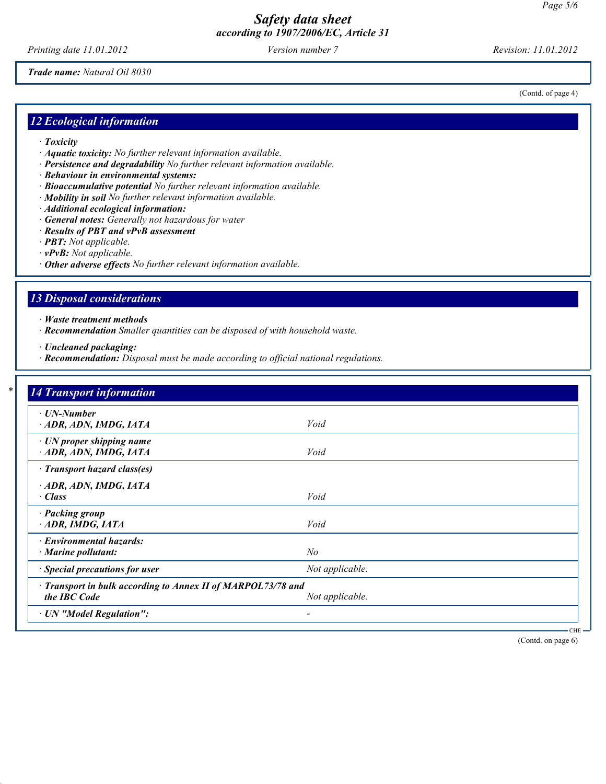Printing date 11.01.2012 Version number 7 Revision: 11.01.2012

(Contd. of page 4)

Trade name: Natural Oil 8030

12 Ecological information

- · Toxicity
- · Aquatic toxicity: No further relevant information available.
- · Persistence and degradability No further relevant information available.
- · Behaviour in environmental systems:
- · Bioaccumulative potential No further relevant information available.
- $\cdot$  **Mobility in soil** No further relevant information available.
- · Additional ecological information:
- · General notes: Generally not hazardous for water
- · Results of PBT and vPvB assessment
- · PBT: Not applicable.
- · vPvB: Not applicable.
- · Other adverse effects No further relevant information available.

### 13 Disposal considerations

· Waste treatment methods

- · Recommendation Smaller quantities can be disposed of with household waste.
- · Uncleaned packaging:
- · Recommendation: Disposal must be made according to official national regulations.

| $\cdot$ UN-Number                                            |                 |  |
|--------------------------------------------------------------|-----------------|--|
| ADR, ADN, IMDG, IATA                                         | Void            |  |
| $\cdot$ UN proper shipping name                              |                 |  |
| ADR, ADN, IMDG, IATA                                         | Void            |  |
| · Transport hazard class(es)                                 |                 |  |
| ADR, ADN, IMDG, IATA                                         |                 |  |
| $\cdot$ Class                                                | Void            |  |
| · Packing group                                              |                 |  |
| ADR, IMDG, IATA                                              | Void            |  |
| · Environmental hazards:                                     |                 |  |
| $\cdot$ Marine pollutant:                                    | No              |  |
| · Special precautions for user                               | Not applicable. |  |
| · Transport in bulk according to Annex II of MARPOL73/78 and |                 |  |
| the IBC Code                                                 | Not applicable. |  |

 CHE (Contd. on page 6)